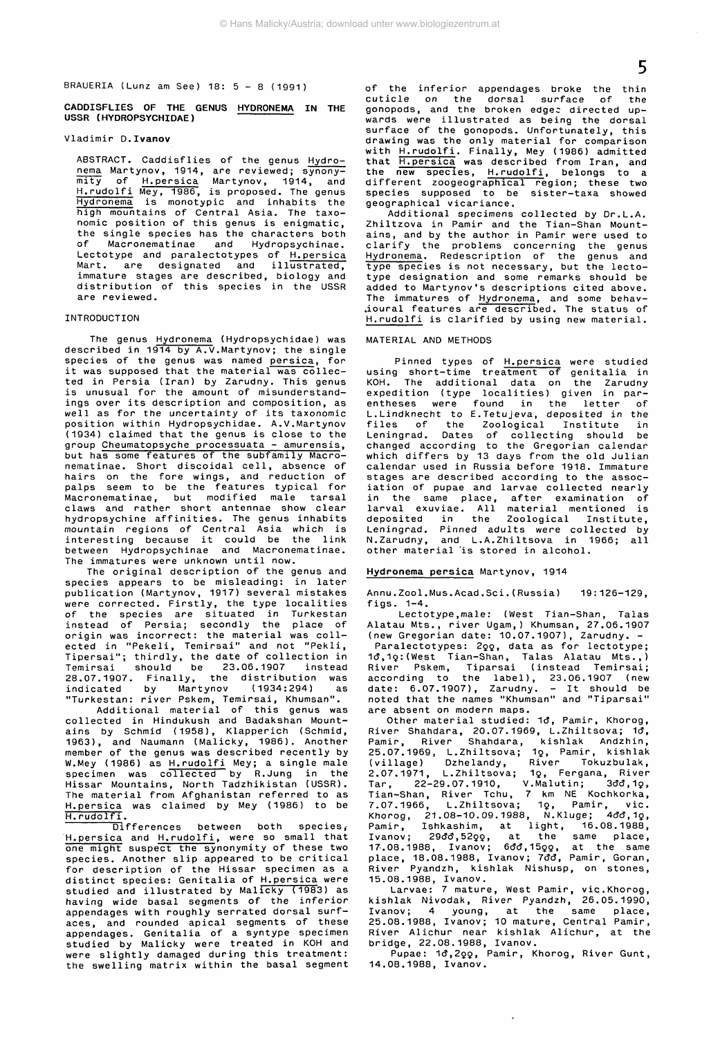BRAUERIA (Lunz am See) 18:  $5 - 8$  (1991)

**CADDISFLIES OF THE GENUS HYDRONEMA IN THE USSR (HYDROPSYCHIDAE)**

## Vladimir **D.Ivanov**

ABSTRACT. Caddisflies of the genus Hydronema Martynov, 1914, are reviewed; synonymity of H.persica Martynov, 1914, and H.rudolfi Mey, 1986, is proposed. The genus Hydronema is monotypic and inhabits the high mountains of Central Asia. The taxonomic position of this genus is enigmatic, the single species has the characters both of Macronematinae and Hydropsychinae. Lectotype and paralectotypes of H.persica Mart. are designated and illustrated. immature stages are described, biology and distribution of this species in the USSR are reviewed.

# INTRODUCTION

The genus Hydronema (Hydropsychidae) was described in 1914 by A.V.Martynov; the single species of the genus was named persica, for it was supposed that the material was collected in Persia (Iran) by Zarudny. This genus is unusual for the amount of misunderstandings over its description and composition, as well as for the uncertainty of its taxonomic position within Hydropsychidae. A.V.Martynov (1934) claimed that the genus is close to the group Cheumatopsyche processuata - amurensis, but has some features of the subfamily Macronematinae. Short discoidal cell, absence of hairs on the fore wings, and reduction of palps seem to be the features typical for Macronematinae, but modified male tarsal claws and rather short antennae show clear hydropsychine affinities. The genus inhabits mountain regions of Central Asia which is interesting because it could be the link between Hydropsychinae and Macronematinae. The immatures were unknown until now.<br>The original description of the genus and

The original description of the genus and species appears to be misleading: in later publication (Martynov, 1917) several mistakes were corrected. Firstly, the type localities of the species are situated in Turkestan instead of Persia; secondly the place of origin was incorrect: the material was collected in "Pekeli, Temirsai" and not "Pekli, Tipersai"; thirdly, the date of collection in Temirsai should be 23.06.1907 instead 28.07.1907. Finally, the distribution was indicated by Martynov (1934:294) as "Turkestan: river Pskem, Temirsai, Khumsan".

Additional material of this genus was collected in Hindukush and Badakshan Mountains by Schmid (1958), Klapperich (Schmid, 1963), and Naumann (Malicky, 1986). Another member of the genus was described recently by W.Mey (1986) as H.rudolfi Mey; a single male specimen was collected by R.Jung in the Hissar Mountains, North Tadzhikistan (USSR). The material from Afghanistan referred to as H. persica was claimed by Mey (1986) to be H.rudolfi.

Differences between both species, H.persica and H.rudolfi, were so small that one might suspect the synonymity of these two species. Another slip appeared to be critical for description of the Hissar specimen as a distinct species: Genitalia of H.persica were studied and illustrated by Malicky (1983) as having wide basal segments of the inferior appendages with roughly serrated dorsal surfaces, and rounded apical segments of these appendages. Genitalia of a syntype specimen studied by Malicky were treated in KOH and were slightly damaged during this treatment: the swelling matrix within the basal segment of the inferior appendages broke the thin<br>cuticle on the dorsal surface of the cuticle on the dorsal surface of the gonopods, and the broken edgec directed upwards were illustrated as being the dorsal surface of the gonopods. Unfortunately, this drawing was the only material for comparison with H.rudolfi. Finally, Mey (1986) admitted that H.persica was described from Iran, and the new species, H.rudolfi, belongs to a different zoogeographical region; these two species supposed to be sister-taxa showed geographical vicariance.

Additional specimens collected by Dr.L.A. Zhiltzova in Pamir and the Tian-Shan Mountains, and by the author in Pamir were used to clarify the problems concerning the genus Hydronema. Redescription of the genus and type species is not necessary, but the lectotype designation and some remarks should be added to Martynov's descriptions cited above. The immatures of Hydronema, and some behavioural features are described. The status of H.rudolfi is clarified by using new material.

# MATERIAL AND METHODS

Pinned types of H.persica were studied using short-time treatment of genitalia in KOH. The additional data on the Zarudny expedition (type localities) given in parentheses were found in the letter of L.Lindknecht to E.Tetujeva, deposited in the files of the Zoological Institute in Leningrad. Dates of collecting should be changed according to the Gregorian calendar which differs by 13 days from the old Julian calendar used in Russia before 1918. Immature stages are described according to the association of pupae and larvae collected nearly in the same place, after examination of larval exuviae. All material mentioned is deposited in the Zoological Institute, Leningrad. Pinned adults were collected by N.Zarudny, and L.A.Zhiltsova in 1966; all other material is stored in alcohol.

# **Hydronema persica** Martynov, 1914

Annu.Zoo1.Mus.Acad.Sei.(Russia) 19 :126-129, figs. 1-4.

Lectotype, male: (West Tian-Shan, Talas Alatau Mts., river Ugam,) Khumsan, 27.06.1907 (new Gregorian date: 10.07.1907), Zarudny. -

Paralectotypes: 200, data as for lectotype; 1d,1q:(West Tian-Shan, Talas Alatau Mts.,) River Pskem, Tiparsai (instead Temirsai; according to the label), 23.06.1907 (new date: 6.07.1907), Zarudny. - It should be noted that the names "Khumsan" and "Tiparsai"

are absent on modern maps.<br>Other material studied: 1d, Pamir, Khorog, Other material studied: 1d, Pamir, Khorog, River Shahdara, 20.07.1969, L.Zhiltsova; 1đ, Pamir, River Shahdara, kishlak Andzhin, 25.07.1969, L.Zhiltsova; 1Q, Pamir, kishlak (village) Dzhelandy, River Tokuzbulak, 2.07.1971, L.Zhiltsova; 1g, Fergana, River Tar, 22-29.07.1910, V.Malutin; 3đđ,1ç, Tian-Shan, River Tchu, 7 km NE Kochkorka, 7.07.1966, L.Zhiltsova; 1ç, Pamir, vic.<br>Khorog, 21.08–10.09.1988, N.Kluge; 4đđ,1ç, Pamir, Ishkashim, at light, 16.08.1988,  $I$ vanov; 29đđ, $52$ çç, at the same place, 17.08.1988, Ivanov; 6đđ,15çç, at the same place, 18.08.1988, Ivanov; 7đđ, Pamir, Goran, River Pyandzh, kishlak Nishusp, on stones, 15.08.1988, Ivanov.

Larvae: 7 mature, West Pamir, vie.Khorog, kishlak Nivodak, River Pyandzh, 26.05.1990, Ivanov; 4 young, at the same place, 25.08.1988, Ivanov; 10 mature, Central Pamir, River Alichur near kishlak Alichur, at the bridge, 22.08.1988, Ivanov.

Pupae: 1đ,2ǫo, Pamir, Khorog, River Gunt, 14.08.1988, Ivanov.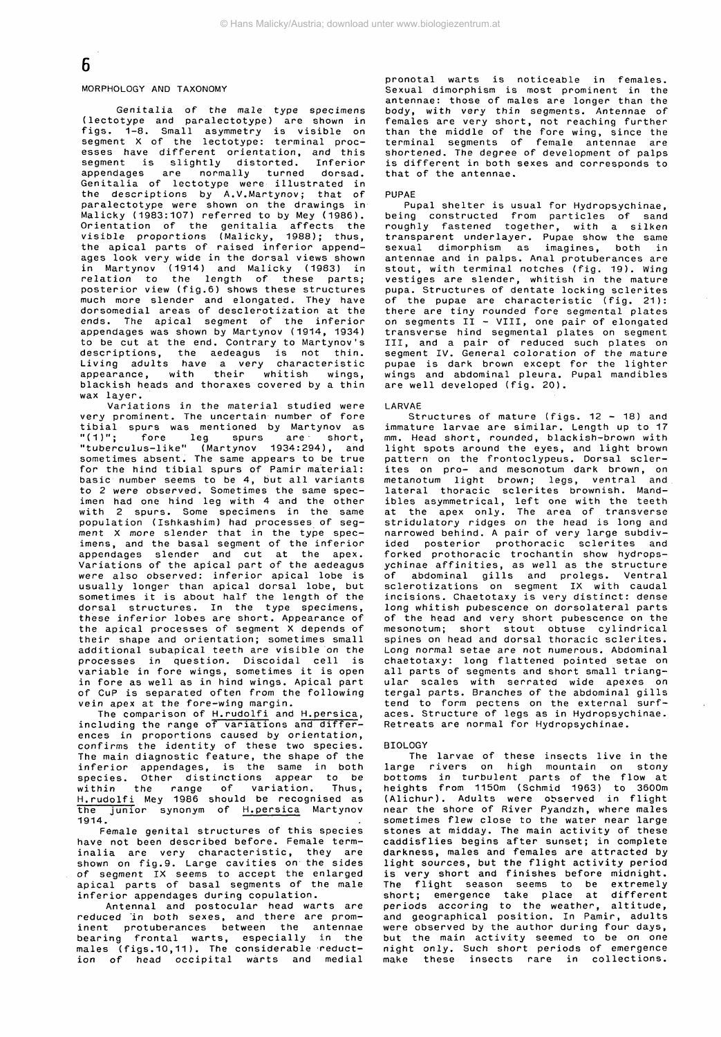# 6

# MORPHOLOGY AND TAXONOMY

Genitalia of the male type specimens (lectotype and paralectotype) are shown in figs. 1-8. Small asymmetry is visible on segment X of the lectotype: terminal processes have different orientation, and this segment is slightly distorted. Inferior appendages are normally turned dorsad. Genitalia of lectotype were illustrated in the descriptions by A.V.Martynov; that of paralectotype were shown on the drawings in Malicky (1983:107) referred to by Mey (1986). Orientation of the genitalia affects the visible proportions (Malicky, 1988); thus, the apical parts of raised inferior appendages look very wide in the dorsal views shown in Martynov (1914) and Malicky (1983) in relation to the length of these parts; posterior view (fig.6) shows these structures much more slender and elongated. They have dorsomedial areas of desclerotization at the ends. The apical segment of the inferior appendages was shown by Martynov (1914, 1934) to be cut at the end. Contrary to Martynov's descriptions, the aedeagus is not thin. Living adults have a very characteristic appearance, with their whitish wings, blackish heads and thoraxes covered by a thin wax layer.

Variations in the material studied were very prominent. The uncertain number of fore tibial spurs was mentioned by Martynov as "(1)"; fore leg spurs are short, "tuberculus-like" (Martynov 1934:294), and sometimes absent. The same appears to be true for the hind tibial spurs of Pamir material: basic number seems to be 4, but all variants to 2 were observed. Sometimes the same specimen had one hind leg with 4 and the other with 2 spurs. Some specimens in the same population (Ishkashim) had processes of segment X more slender that in the type specimens, and the basal segment of the inferior appendages slender and cut at the apex. Variations of the apical part of the aedeagus were also observed: inferior apical lobe is usually longer than apical dorsal lobe, but sometimes it is about half the length of the dorsal structures. In the type specimens, these inferior lobes are short. Appearance of the apical processes of segment X depends of their shape and orientation; sometimes small additional subapical teeth are visible on the processes in question. Discoidal cell is .<br>variable in fore wings, sometimes it is open in fore as well as in hind wings. Apical part of CuP is separated often from the following vein apex at the fore-wing margin.

The comparison of H.rudolfi and H.persica, including the range of variations and differences in proportions caused by orientation, confirms the identity of these two species. The main diagnostic feature, the shape of the inferior appendages, is the same in both species. Other distinctions appear to be within the range of variation. Thus, H.rudolfi Mey 1986 should be recognised as the junior synonym of H.persica Martynov 1914.

Female genital structures of this species have not been described before. Female terminalia are very characteristic, they are shown on fig.9. Large cavities on the sides of segment IX seems to accept the enlarged apical parts of basal segments of the male inferior appendages during copulation.

Antennal and postocular head warts are reduced in both sexes, and there are prominent protuberances between the antennae bearing frontal warts, especially in the males (figs.10,11) . The considerable reduction of head occipital warts and medial

pronotal warts is noticeable in females. Sexual dimorphism is most prominent in the antennae: those of males are longer than the body, with very thin segments. Antennae of females are very short, not reaching further than the middle of the fore wing, since the terminal segments of female antennae are shortened. The degree of development of palps is different in both sexes and corresponds to that of the antennae.

#### PUPAE

Pupal shelter is usual for Hydropsychinae, being constructed from particles of sand roughly fastened together, with a silken transparent underlayer. Pupae show the same sexual dimorphism as imagines, both in antennae and in palps. Anal protuberances are stout, with terminal notches (fig. 19). Wing vestiges are slender, whitish in the mature pupa. Structures of dentate locking sclerites of the pupae are characteristic (fig. 21): there are tiny rounded fore segmental plates on segments II - VIII, one pair of elongated transverse hind segmental plates on segment III, and a pair of reduced such plates on segment IV. General coloration of the mature pupae is dark brown except for the lighter wings and abdominal pleura. Pupal mandibles are well developed (fig. 20).

#### LARVAE

Structures of mature (figs. 12 - 18) and immature larvae are similar. Length up to 17 mm. Head short, rounded, blackish-brown with light spots around the eyes, and light brown pattern on the frontoclypeus. Dorsal sclerites on pro- and mesonotum dark brown, on metanotum light brown; legs, ventral and lateral thoracic sclerites brownish. Mandibles asymmetrical, left one with the teeth at the apex only. The area of transverse stridulatory ridges on the head is long and narrowed behind. A pair of very large subdivided posterior prothoracic sclerites and forked prothoracic trochantin show hydropsychinae affinities, as well as the structure of abdominal gills and prolegs. Ventral sclerotizations on segment IX with caudal incisions. Chaetotaxy is very distinct: dense long whitish pubescence on dorsolateral parts of the head and very short pubescence on the mesonotum; short stout obtuse cylindrical spines on head and dorsal thoracic sclerites. Long normal setae are not numerous. Abdominal chaetotaxy: long flattened pointed setae on all parts of segments and short small triangular scales with serrated wide apexes on tergal parts. Branches of the abdominal gills tend to form pectens on the external surfaces. Structure of legs as in Hydropsychinae. Retreats are normal for Hydropsychinae.

#### BIOLOGY

The larvae of these insects live in the large rivers on high mountain on stony bottoms in turbulent parts of the flow at heights from 1150m (Schmid 1963) to 3600m (Alichur). Adults were observed in flight near the shore of River Pyandzh, where males sometimes flew close to the water near large stones at midday. The main activity of these caddisflies begins after sunset; in complete darkness, males and females are attracted by light sources, but the flight activity period is very short and finishes before midnight. The flight season seems to be extremely short; emergence take place at different periods accoring to the weather, altitude, and geographical position. In Pamir, adults were observed by the author during four days, but the main activity seemed to be on one night only. Such short periods of emergence make these insects rare in collections.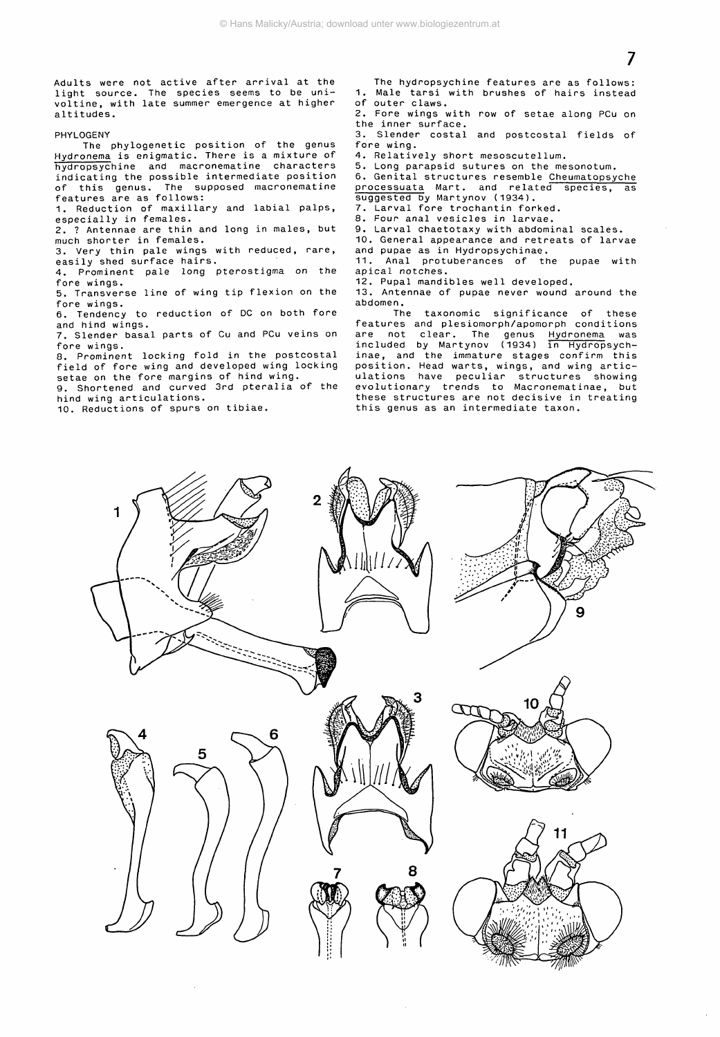Adults were not active after arrival at the light source. The species seems to be univoltine, with late summer emergence at higher altitudes.

#### PHYLOGENY

The phylogenetic position of the genus Hydronema is enigmatic. There is a mixture of hydropsychine and macronematine characters indicating the possible intermediate position of this genus. The supposed macronematine features are as follows:

1. Reduction of maxillary and labial palps, especially in females.

2. ? Antennae are thin and long in males, but much shorter in females.

3. Very thin pale wings with reduced, rare, easily shed surface hairs.

4. Prominent pale long pterostigma on the fore wings.

5. Transverse line of wing tip flexion on the fore wings.

6. Tendency to reduction of DC on both fore and hind wings.

7. Slender basal parts of Cu and PCu veins on fore wings.

8. Prominent locking fold in the postcostal field of fore wing and developed wing locking setae on the fore margins of hind wing.

9. Shortened and curved 3rd pteralia of the hind wing articulations.

10. Reductions of spurs on tibiae.

The hydropsychine features are as follows: 1. Male tarsi with brushes of hairs instead of outer claws.

2. Fore wings with row of setae along PCu on the inner surface.

3. Slender costal and postcostal fields of fore wing.

4. Relatively short mesoscutellum.

5. Long parapsid sutures on the mesonotum.

6. Genital structures resemble Cheumatopsyche processuata Mart, and related species, as suggested by Martynov (1934).

7. Larval fore trochantin forked.

8. Four anal vesicles in larvae.

9. Larval chaetotaxy with abdominal scales.

10. General appearance and retreats of larvae and pupae as in Hydropsychinae.

11. Anal protuberances of the pupae with apical notches.

12. Pupal mandibles well developed.

13. Antennae of pupae never wound around the

abdomen.<br>The taxonomic significance of these features and plesiomorph/apomorph conditions are not clear. The genus Hydronema was included by Martynov (1934) <del>în Hydrop</del>sychinae, and the immature stages confirm this position. Head warts, wings, and wing articulations have peculiar structures showing evolutionary trends to Macronematinae, but these structures are not decisive in treating this genus as an intermediate taxon.



7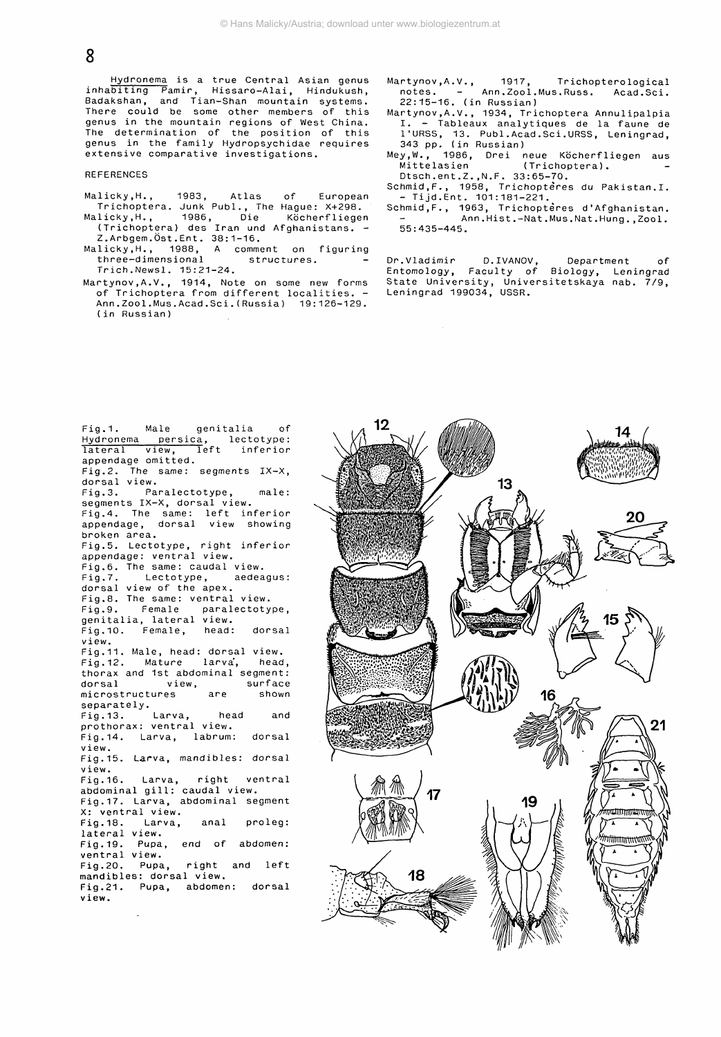**8**

Hydronema is a true Central Asian genus inhabiting Pamir, Hissaro-Alai, Hindukush, Badakshan, and Tian-Shan mountain systems. There could be some other members of this genus in the mountain regions of West China. The determination of the position of this genus in the family Hydropsychidae requires extensive comparative investigations.

**REFERENCES** 

- Malicky.H., 1983, Atlas of European Trichoptera. Junk Publ., The Hague: X+298. Malicky.H., 1986, Die Köcherfliegen
- (Trichoptera) des Iran und Afghanistans. Z.Arbgem.Öst.Ent. 38:1-16.
- Malicky.H., 1988, A comment on figuring three-dimensional structures. -Trich.Newsl. 15:21-24.
- Martynov, A. V. , 1914, Note on some new forms of Trichoptera from different localities. - Ann.Zool.Mus.Acad.Sei.(Russia) 19:126-129. (in Russian)
- Martynov,A.V., 1917, Trichopterological notes. – Ann.Zool.Mus.Russ. Acad.Sci.<br>22.45.46. (i.C.:::: notes. - Ann. Zool. N<br>22:15-16. (in Russian)
- Martynov,A.V., 1934, Trichoptera Annulipalpia I. - Tableaux analytiques de la faune de l'URSS, 13. Publ.Acad.Sci.URSS, Leningrad, 343 pp. (in Russian)
- Mey.W., 1986, Drei neue Köcherfliegen aus Mittelasien (Trichoptera).<br>Dteeb ent 7 N F - 22.65 70
- Dtsch.ent.Z.,N.F. 33:65-70. Schmid, F., 1958, Trichopteres du Pakistan. I.<br>- Tijd. Ent. 101:181-221.
- Tiju.Ent. 101:181-221.<br>bmid E 1062 Teisbest. Schmid.F., 1963, Trichoptères d'Afghanistan. Ann.Hist.-Nat.Mus.Nat.Hung.,Zool. 55:435-445.

Dr.Vladimir D.IVANOV, Department of Entomology, Faculty of Biology, Leningrad State University, Universitetskaya nab. 7/9, Leningrad 199034, USSR.

Fig.1. Male genitalia of Hydronema persica, lectotype: lateral view, Teft inferior appendage omitted. Fig.2. The same: segments IX-X, dorsal view. Fig.3. Paralectotype, male: segments IX-X, dorsal view. Fig.4. The same: left inferior appendage, dorsal view showing broken area. Fig.5. Lectotype, right inferior appendage: ventral view. Fig.6. The same: caudal view.<br>Fig.7. Lectotype, aedeagus: Lectotype, dorsal view of the apex. Fig.8. The same: ventral view.<br>Fig.9. Female paralectoty paralectotype, genitalia, lateral view. Fig.10. Female, head: dorsal view. Fig.11. Male, head: dorsal view. Fig.12. Mature larva', head, thorax and 1st abdominal segment:<br>dorsal view, surface view, surface<br>tures are shown microstructures separately.<br>Fig.13. Larva, head and prothorax: ventral view. Fig.14. Larva, labrum: dorsal view. Fig.15. Larva, mandibles: dorsal view. Fig.16. Larva, abdominal gill: caudal view. Fig.17. Larva, abdominal segment X: ventral view Fig.18. lateral view. Fig.19. ventral view. Fig.20. Larva, Pupa, Pupa, right ventral , anal end of abdomen : right and left proleg: mandibles: dorsal view. Fig.21. Pupa, abdomen: dorsal view.